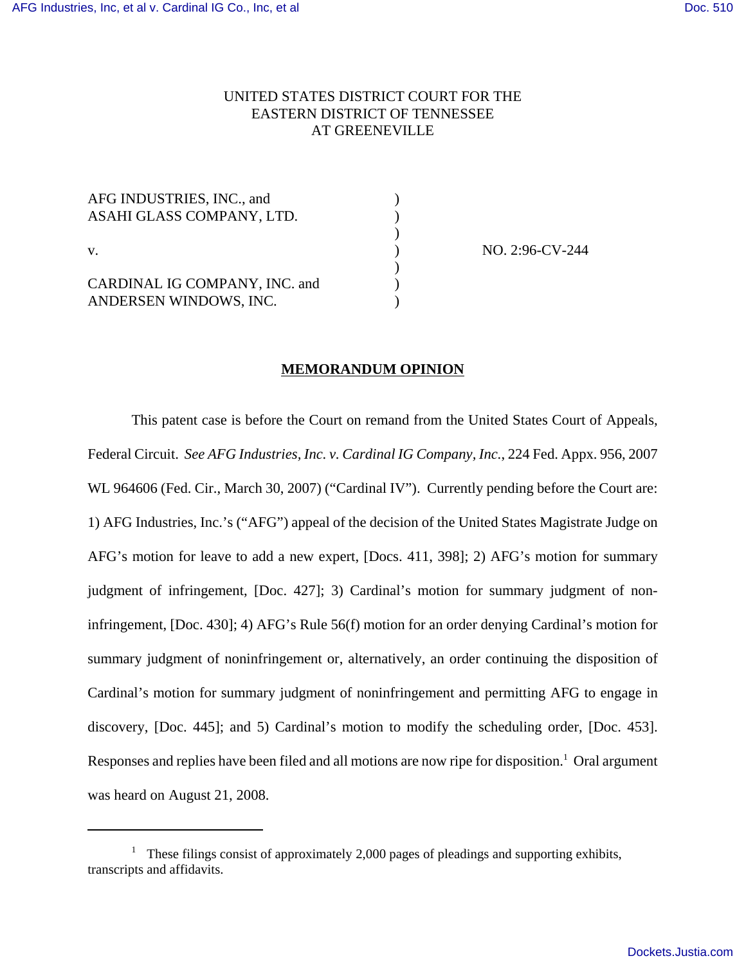# UNITED STATES DISTRICT COURT FOR THE EASTERN DISTRICT OF TENNESSEE AT GREENEVILLE

| AFG INDUSTRIES, INC., and<br>ASAHI GLASS COMPANY, LTD.  |  |
|---------------------------------------------------------|--|
| V.                                                      |  |
| CARDINAL IG COMPANY, INC. and<br>ANDERSEN WINDOWS, INC. |  |

NO. 2:96-CV-244

## **MEMORANDUM OPINION**

This patent case is before the Court on remand from the United States Court of Appeals, Federal Circuit. *See AFG Industries, Inc. v. Cardinal IG Company, Inc.*, 224 Fed. Appx. 956, 2007 WL 964606 (Fed. Cir., March 30, 2007) ("Cardinal IV"). Currently pending before the Court are: 1) AFG Industries, Inc.'s ("AFG") appeal of the decision of the United States Magistrate Judge on AFG's motion for leave to add a new expert, [Docs. 411, 398]; 2) AFG's motion for summary judgment of infringement, [Doc. 427]; 3) Cardinal's motion for summary judgment of noninfringement, [Doc. 430]; 4) AFG's Rule 56(f) motion for an order denying Cardinal's motion for summary judgment of noninfringement or, alternatively, an order continuing the disposition of Cardinal's motion for summary judgment of noninfringement and permitting AFG to engage in discovery, [Doc. 445]; and 5) Cardinal's motion to modify the scheduling order, [Doc. 453]. Responses and replies have been filed and all motions are now ripe for disposition.<sup>1</sup> Oral argument was heard on August 21, 2008.

<sup>&</sup>lt;sup>1</sup> These filings consist of approximately 2,000 pages of pleadings and supporting exhibits, transcripts and affidavits.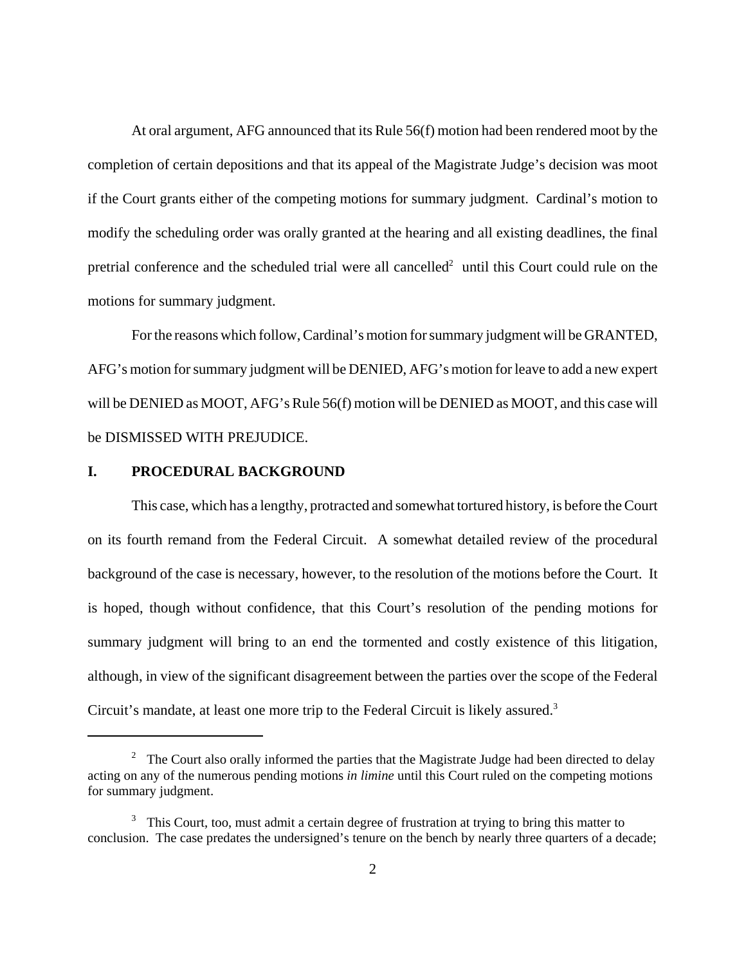At oral argument, AFG announced that its Rule 56(f) motion had been rendered moot by the completion of certain depositions and that its appeal of the Magistrate Judge's decision was moot if the Court grants either of the competing motions for summary judgment. Cardinal's motion to modify the scheduling order was orally granted at the hearing and all existing deadlines, the final pretrial conference and the scheduled trial were all cancelled<sup>2</sup> until this Court could rule on the motions for summary judgment.

For the reasons which follow, Cardinal's motion for summary judgment will be GRANTED, AFG's motion for summary judgment will be DENIED, AFG's motion for leave to add a new expert will be DENIED as MOOT, AFG's Rule 56(f) motion will be DENIED as MOOT, and this case will be DISMISSED WITH PREJUDICE.

## **I. PROCEDURAL BACKGROUND**

This case, which has a lengthy, protracted and somewhat tortured history, is before the Court on its fourth remand from the Federal Circuit. A somewhat detailed review of the procedural background of the case is necessary, however, to the resolution of the motions before the Court. It is hoped, though without confidence, that this Court's resolution of the pending motions for summary judgment will bring to an end the tormented and costly existence of this litigation, although, in view of the significant disagreement between the parties over the scope of the Federal Circuit's mandate, at least one more trip to the Federal Circuit is likely assured.<sup>3</sup>

<sup>&</sup>lt;sup>2</sup> The Court also orally informed the parties that the Magistrate Judge had been directed to delay acting on any of the numerous pending motions *in limine* until this Court ruled on the competing motions for summary judgment.

 $3$  This Court, too, must admit a certain degree of frustration at trying to bring this matter to conclusion. The case predates the undersigned's tenure on the bench by nearly three quarters of a decade;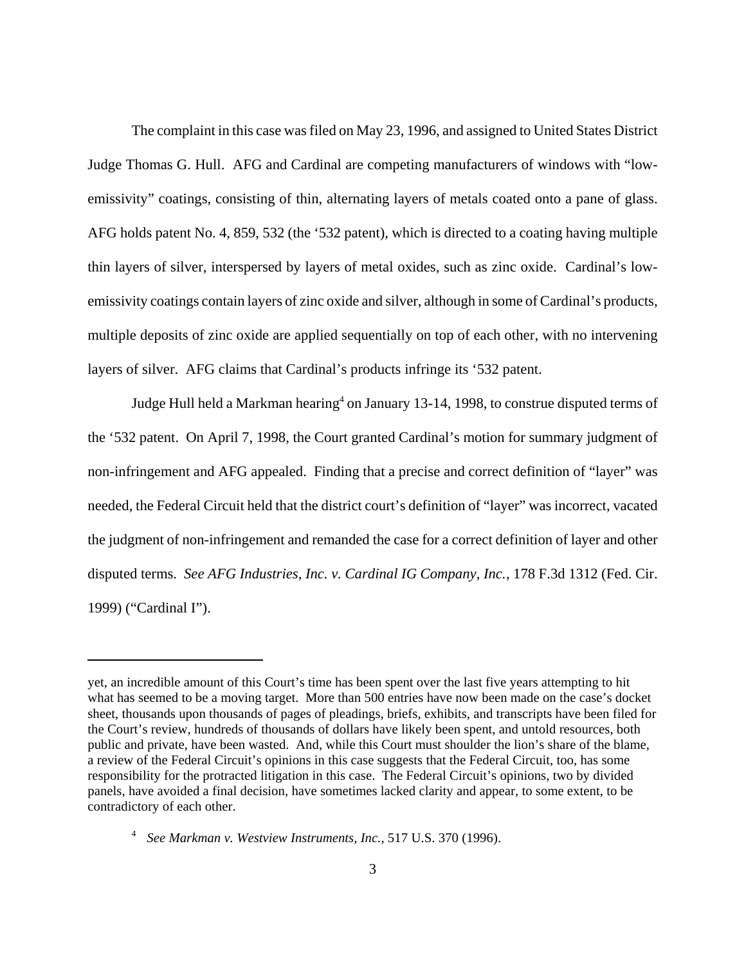The complaint in this case was filed on May 23, 1996, and assigned to United States District Judge Thomas G. Hull. AFG and Cardinal are competing manufacturers of windows with "lowemissivity" coatings, consisting of thin, alternating layers of metals coated onto a pane of glass. AFG holds patent No. 4, 859, 532 (the '532 patent), which is directed to a coating having multiple thin layers of silver, interspersed by layers of metal oxides, such as zinc oxide. Cardinal's lowemissivity coatings contain layers of zinc oxide and silver, although in some of Cardinal's products, multiple deposits of zinc oxide are applied sequentially on top of each other, with no intervening layers of silver. AFG claims that Cardinal's products infringe its '532 patent.

Judge Hull held a Markman hearing<sup>4</sup> on January 13-14, 1998, to construe disputed terms of the '532 patent. On April 7, 1998, the Court granted Cardinal's motion for summary judgment of non-infringement and AFG appealed. Finding that a precise and correct definition of "layer" was needed, the Federal Circuit held that the district court's definition of "layer" was incorrect, vacated the judgment of non-infringement and remanded the case for a correct definition of layer and other disputed terms. *See AFG Industries, Inc. v. Cardinal IG Company, Inc.*, 178 F.3d 1312 (Fed. Cir. 1999) ("Cardinal I").

yet, an incredible amount of this Court's time has been spent over the last five years attempting to hit what has seemed to be a moving target. More than 500 entries have now been made on the case's docket sheet, thousands upon thousands of pages of pleadings, briefs, exhibits, and transcripts have been filed for the Court's review, hundreds of thousands of dollars have likely been spent, and untold resources, both public and private, have been wasted. And, while this Court must shoulder the lion's share of the blame, a review of the Federal Circuit's opinions in this case suggests that the Federal Circuit, too, has some responsibility for the protracted litigation in this case. The Federal Circuit's opinions, two by divided panels, have avoided a final decision, have sometimes lacked clarity and appear, to some extent, to be contradictory of each other.

<sup>4</sup> *See Markman v. Westview Instruments, Inc.*, 517 U.S. 370 (1996).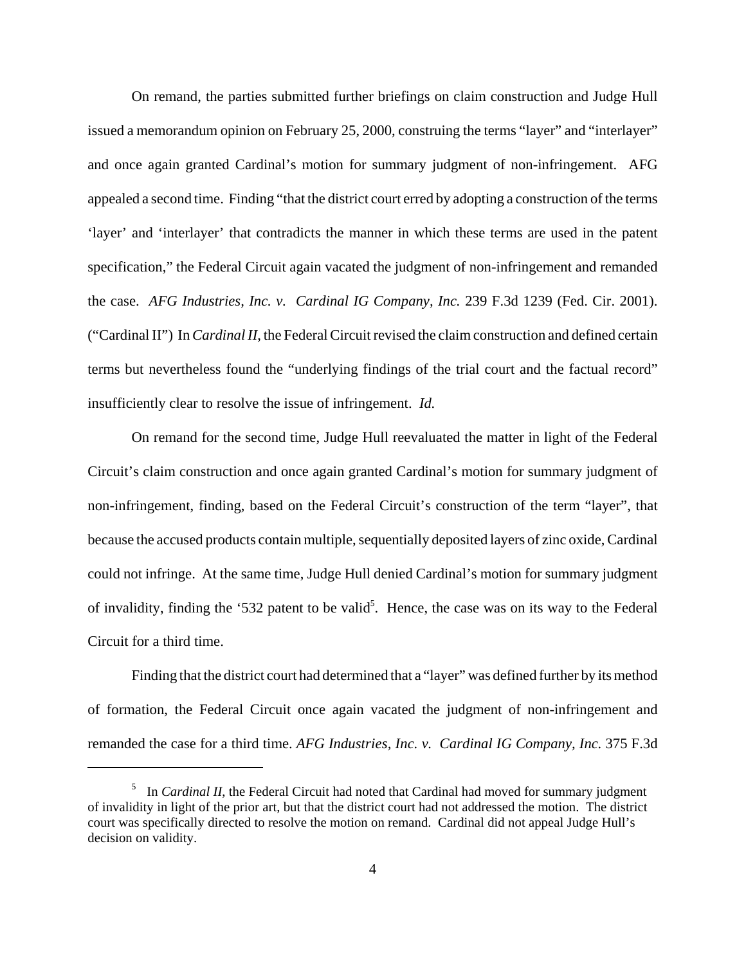On remand, the parties submitted further briefings on claim construction and Judge Hull issued a memorandum opinion on February 25, 2000, construing the terms "layer" and "interlayer" and once again granted Cardinal's motion for summary judgment of non-infringement. AFG appealed a second time. Finding "that the district court erred by adopting a construction of the terms 'layer' and 'interlayer' that contradicts the manner in which these terms are used in the patent specification," the Federal Circuit again vacated the judgment of non-infringement and remanded the case. *AFG Industries, Inc. v. Cardinal IG Company, Inc.* 239 F.3d 1239 (Fed. Cir. 2001). ("Cardinal II") In *Cardinal II*, the Federal Circuit revised the claim construction and defined certain terms but nevertheless found the "underlying findings of the trial court and the factual record" insufficiently clear to resolve the issue of infringement. *Id.*

On remand for the second time, Judge Hull reevaluated the matter in light of the Federal Circuit's claim construction and once again granted Cardinal's motion for summary judgment of non-infringement, finding, based on the Federal Circuit's construction of the term "layer", that because the accused products contain multiple, sequentially deposited layers of zinc oxide, Cardinal could not infringe. At the same time, Judge Hull denied Cardinal's motion for summary judgment of invalidity, finding the '532 patent to be valid<sup>5</sup>. Hence, the case was on its way to the Federal Circuit for a third time.

Finding that the district court had determined that a "layer" was defined further by its method of formation, the Federal Circuit once again vacated the judgment of non-infringement and remanded the case for a third time. *AFG Industries, Inc. v. Cardinal IG Company, Inc.* 375 F.3d

<sup>&</sup>lt;sup>5</sup> In *Cardinal II*, the Federal Circuit had noted that Cardinal had moved for summary judgment of invalidity in light of the prior art, but that the district court had not addressed the motion. The district court was specifically directed to resolve the motion on remand. Cardinal did not appeal Judge Hull's decision on validity.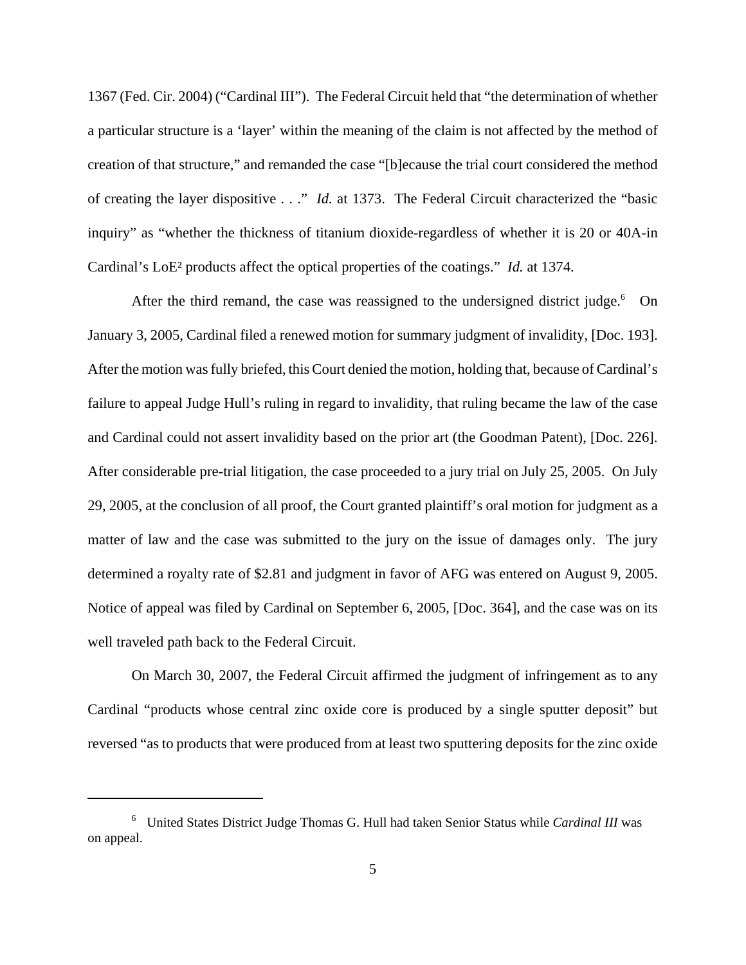1367 (Fed. Cir. 2004) ("Cardinal III"). The Federal Circuit held that "the determination of whether a particular structure is a 'layer' within the meaning of the claim is not affected by the method of creation of that structure," and remanded the case "[b]ecause the trial court considered the method of creating the layer dispositive . . ." *Id.* at 1373. The Federal Circuit characterized the "basic inquiry" as "whether the thickness of titanium dioxide-regardless of whether it is 20 or 40A-in Cardinal's LoE² products affect the optical properties of the coatings." *Id.* at 1374.

After the third remand, the case was reassigned to the undersigned district judge.<sup>6</sup> On January 3, 2005, Cardinal filed a renewed motion for summary judgment of invalidity, [Doc. 193]. After the motion was fully briefed, this Court denied the motion, holding that, because of Cardinal's failure to appeal Judge Hull's ruling in regard to invalidity, that ruling became the law of the case and Cardinal could not assert invalidity based on the prior art (the Goodman Patent), [Doc. 226]. After considerable pre-trial litigation, the case proceeded to a jury trial on July 25, 2005. On July 29, 2005, at the conclusion of all proof, the Court granted plaintiff's oral motion for judgment as a matter of law and the case was submitted to the jury on the issue of damages only. The jury determined a royalty rate of \$2.81 and judgment in favor of AFG was entered on August 9, 2005. Notice of appeal was filed by Cardinal on September 6, 2005, [Doc. 364], and the case was on its well traveled path back to the Federal Circuit.

On March 30, 2007, the Federal Circuit affirmed the judgment of infringement as to any Cardinal "products whose central zinc oxide core is produced by a single sputter deposit" but reversed "as to products that were produced from at least two sputtering deposits for the zinc oxide

<sup>6</sup> United States District Judge Thomas G. Hull had taken Senior Status while *Cardinal III* was on appeal.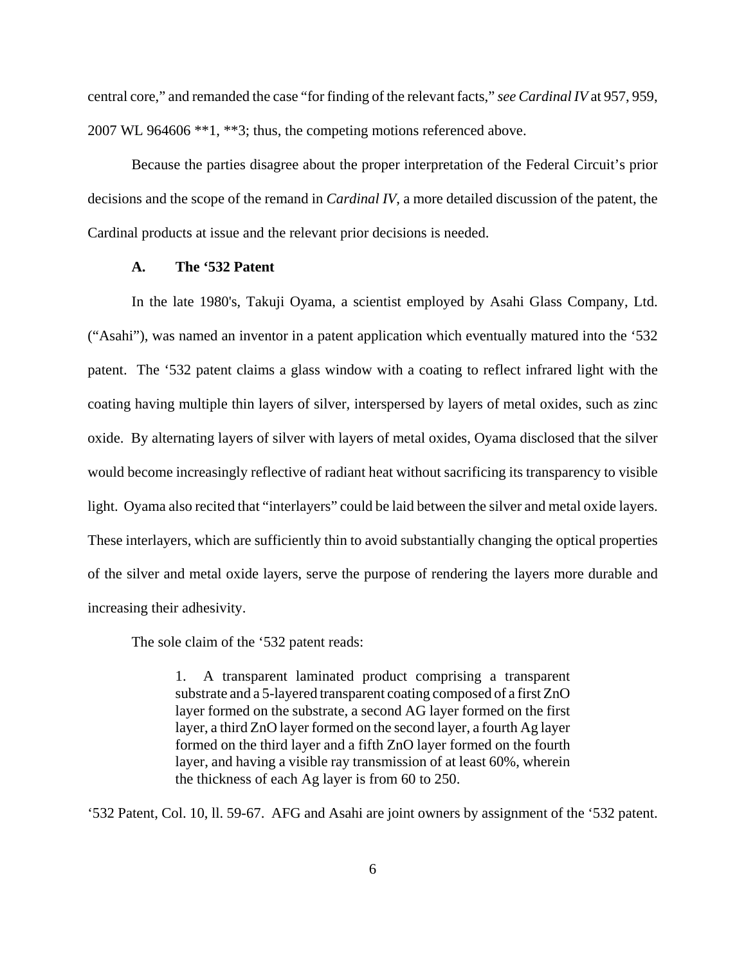central core," and remanded the case "for finding of the relevant facts," *see Cardinal IV* at 957, 959, 2007 WL 964606 \*\*1, \*\*3; thus, the competing motions referenced above.

Because the parties disagree about the proper interpretation of the Federal Circuit's prior decisions and the scope of the remand in *Cardinal IV*, a more detailed discussion of the patent, the Cardinal products at issue and the relevant prior decisions is needed.

### **A. The '532 Patent**

In the late 1980's, Takuji Oyama, a scientist employed by Asahi Glass Company, Ltd. ("Asahi"), was named an inventor in a patent application which eventually matured into the '532 patent. The '532 patent claims a glass window with a coating to reflect infrared light with the coating having multiple thin layers of silver, interspersed by layers of metal oxides, such as zinc oxide. By alternating layers of silver with layers of metal oxides, Oyama disclosed that the silver would become increasingly reflective of radiant heat without sacrificing its transparency to visible light. Oyama also recited that "interlayers" could be laid between the silver and metal oxide layers. These interlayers, which are sufficiently thin to avoid substantially changing the optical properties of the silver and metal oxide layers, serve the purpose of rendering the layers more durable and increasing their adhesivity.

The sole claim of the '532 patent reads:

1. A transparent laminated product comprising a transparent substrate and a 5-layered transparent coating composed of a first ZnO layer formed on the substrate, a second AG layer formed on the first layer, a third ZnO layer formed on the second layer, a fourth Ag layer formed on the third layer and a fifth ZnO layer formed on the fourth layer, and having a visible ray transmission of at least 60%, wherein the thickness of each Ag layer is from 60 to 250.

'532 Patent, Col. 10, ll. 59-67. AFG and Asahi are joint owners by assignment of the '532 patent.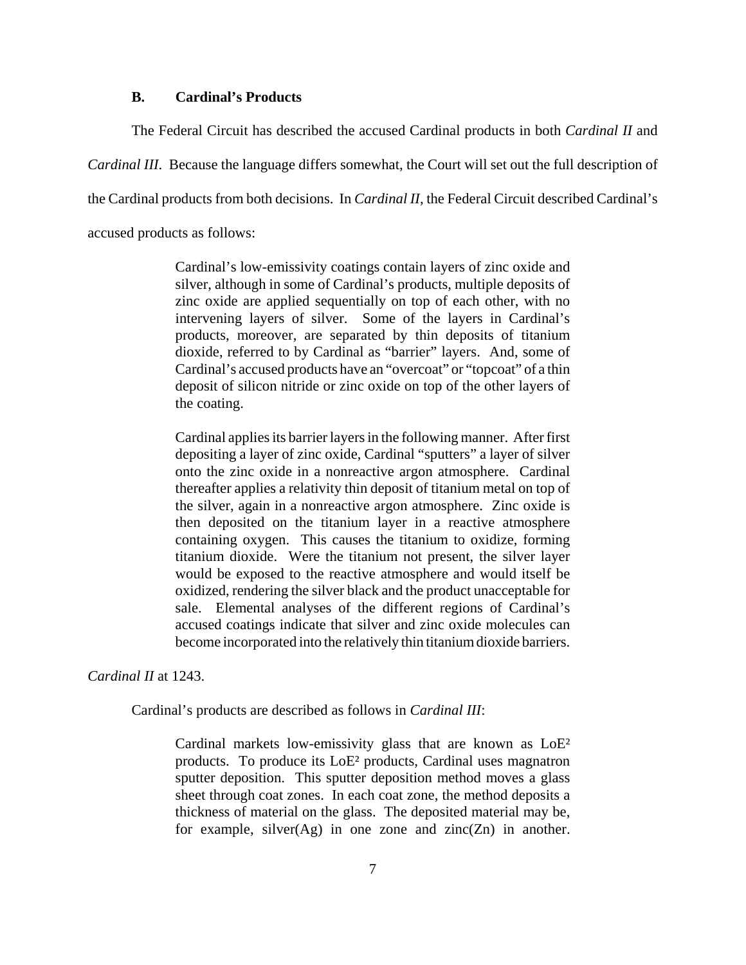### **B. Cardinal's Products**

The Federal Circuit has described the accused Cardinal products in both *Cardinal II* and *Cardinal III*. Because the language differs somewhat, the Court will set out the full description of the Cardinal products from both decisions. In *Cardinal II*, the Federal Circuit described Cardinal's accused products as follows:

> Cardinal's low-emissivity coatings contain layers of zinc oxide and silver, although in some of Cardinal's products, multiple deposits of zinc oxide are applied sequentially on top of each other, with no intervening layers of silver. Some of the layers in Cardinal's products, moreover, are separated by thin deposits of titanium dioxide, referred to by Cardinal as "barrier" layers. And, some of Cardinal's accused products have an "overcoat" or "topcoat" of a thin deposit of silicon nitride or zinc oxide on top of the other layers of the coating.

> Cardinal applies its barrier layers in the following manner. After first depositing a layer of zinc oxide, Cardinal "sputters" a layer of silver onto the zinc oxide in a nonreactive argon atmosphere. Cardinal thereafter applies a relativity thin deposit of titanium metal on top of the silver, again in a nonreactive argon atmosphere. Zinc oxide is then deposited on the titanium layer in a reactive atmosphere containing oxygen. This causes the titanium to oxidize, forming titanium dioxide. Were the titanium not present, the silver layer would be exposed to the reactive atmosphere and would itself be oxidized, rendering the silver black and the product unacceptable for sale. Elemental analyses of the different regions of Cardinal's accused coatings indicate that silver and zinc oxide molecules can become incorporated into the relatively thin titanium dioxide barriers.

*Cardinal II* at 1243.

Cardinal's products are described as follows in *Cardinal III*:

Cardinal markets low-emissivity glass that are known as LoE² products. To produce its LoE² products, Cardinal uses magnatron sputter deposition. This sputter deposition method moves a glass sheet through coat zones. In each coat zone, the method deposits a thickness of material on the glass. The deposited material may be, for example, silver $(Ag)$  in one zone and zinc $(Zn)$  in another.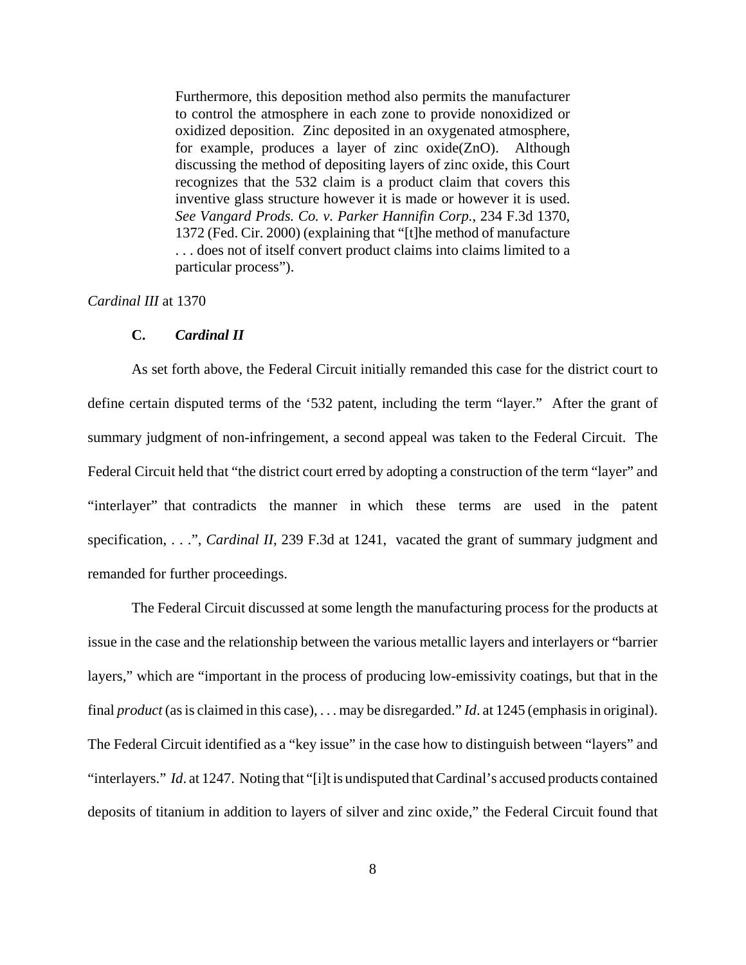Furthermore, this deposition method also permits the manufacturer to control the atmosphere in each zone to provide nonoxidized or oxidized deposition. Zinc deposited in an oxygenated atmosphere, for example, produces a layer of zinc oxide(ZnO). Although discussing the method of depositing layers of zinc oxide, this Court recognizes that the 532 claim is a product claim that covers this inventive glass structure however it is made or however it is used. *See Vangard Prods. Co. v. Parker Hannifin Corp.*, 234 F.3d 1370, 1372 (Fed. Cir. 2000) (explaining that "[t]he method of manufacture . . . does not of itself convert product claims into claims limited to a particular process").

# *Cardinal III* at 1370

### **C.** *Cardinal II*

As set forth above, the Federal Circuit initially remanded this case for the district court to define certain disputed terms of the '532 patent, including the term "layer." After the grant of summary judgment of non-infringement, a second appeal was taken to the Federal Circuit. The Federal Circuit held that "the district court erred by adopting a construction of the term "layer" and "interlayer" that contradicts the manner in which these terms are used in the patent specification, . . .", *Cardinal II*, 239 F.3d at 1241, vacated the grant of summary judgment and remanded for further proceedings.

The Federal Circuit discussed at some length the manufacturing process for the products at issue in the case and the relationship between the various metallic layers and interlayers or "barrier layers," which are "important in the process of producing low-emissivity coatings, but that in the final *product* (as is claimed in this case), . . . may be disregarded." *Id*. at 1245 (emphasis in original). The Federal Circuit identified as a "key issue" in the case how to distinguish between "layers" and "interlayers." *Id*. at 1247. Noting that "[i]t is undisputed that Cardinal's accused products contained deposits of titanium in addition to layers of silver and zinc oxide," the Federal Circuit found that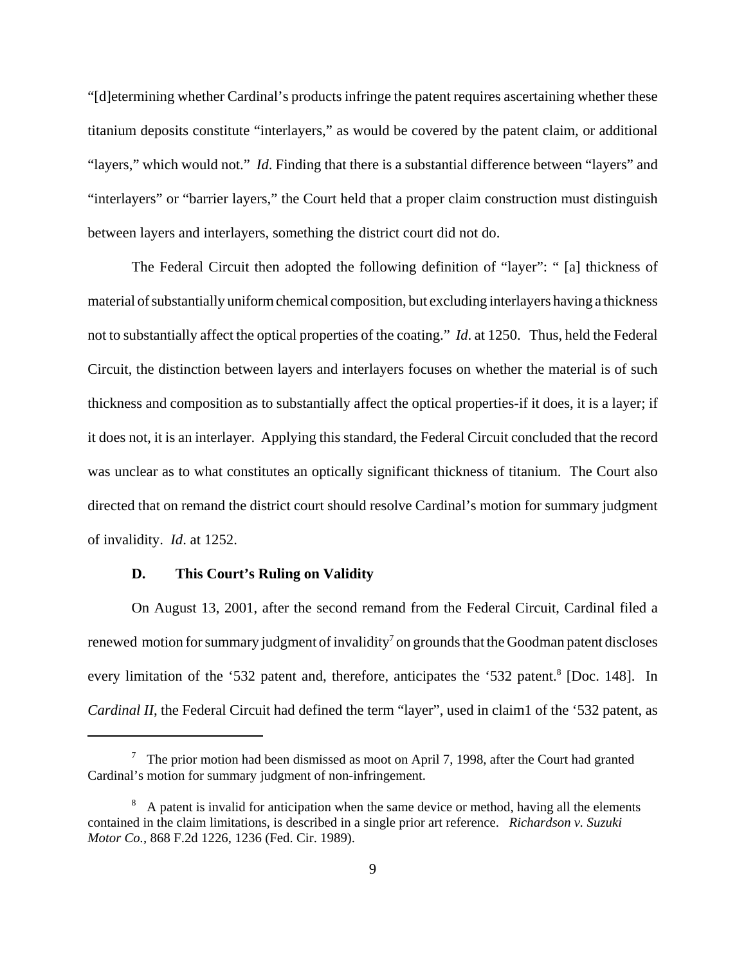"[d]etermining whether Cardinal's products infringe the patent requires ascertaining whether these titanium deposits constitute "interlayers," as would be covered by the patent claim, or additional "layers," which would not." *Id*. Finding that there is a substantial difference between "layers" and "interlayers" or "barrier layers," the Court held that a proper claim construction must distinguish between layers and interlayers, something the district court did not do.

The Federal Circuit then adopted the following definition of "layer": " [a] thickness of material of substantially uniform chemical composition, but excluding interlayers having a thickness not to substantially affect the optical properties of the coating." *Id*. at 1250. Thus, held the Federal Circuit, the distinction between layers and interlayers focuses on whether the material is of such thickness and composition as to substantially affect the optical properties-if it does, it is a layer; if it does not, it is an interlayer. Applying this standard, the Federal Circuit concluded that the record was unclear as to what constitutes an optically significant thickness of titanium. The Court also directed that on remand the district court should resolve Cardinal's motion for summary judgment of invalidity. *Id*. at 1252.

## **D. This Court's Ruling on Validity**

On August 13, 2001, after the second remand from the Federal Circuit, Cardinal filed a renewed motion for summary judgment of invalidity<sup>7</sup> on grounds that the Goodman patent discloses every limitation of the '532 patent and, therefore, anticipates the '532 patent.<sup>8</sup> [Doc. 148]. In *Cardinal II*, the Federal Circuit had defined the term "layer", used in claim1 of the '532 patent, as

<sup>&</sup>lt;sup>7</sup> The prior motion had been dismissed as moot on April 7, 1998, after the Court had granted Cardinal's motion for summary judgment of non-infringement.

 $8\text{ A patent is invalid for anticipation when the same device or method, having all the elements.}$ contained in the claim limitations, is described in a single prior art reference. *Richardson v. Suzuki Motor Co.*, 868 F.2d 1226, 1236 (Fed. Cir. 1989).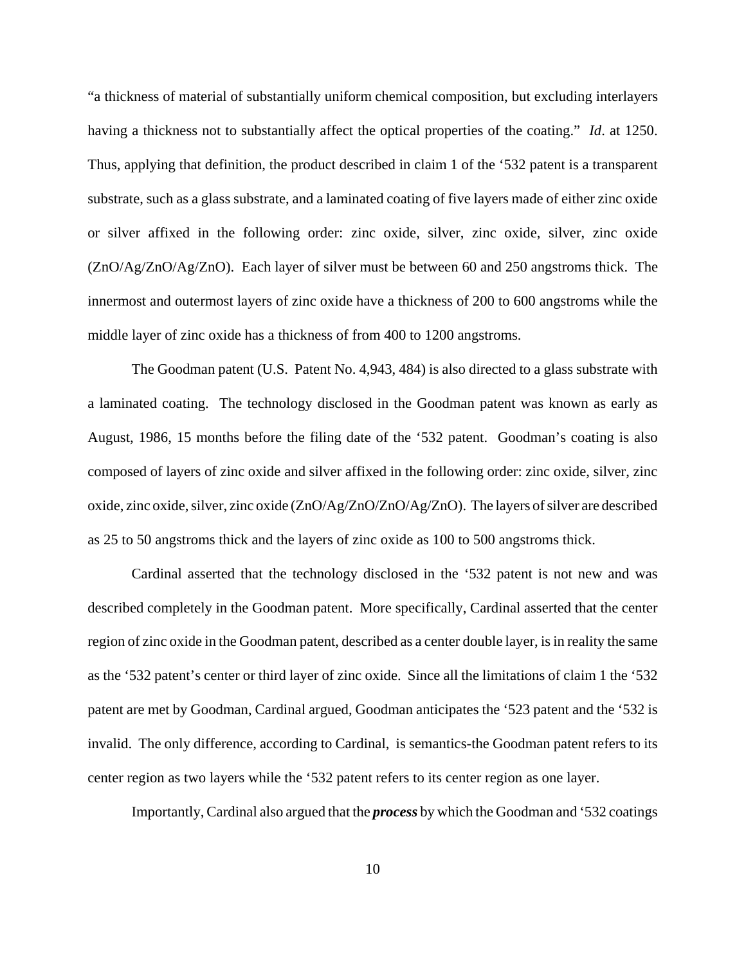"a thickness of material of substantially uniform chemical composition, but excluding interlayers having a thickness not to substantially affect the optical properties of the coating." *Id*. at 1250. Thus, applying that definition, the product described in claim 1 of the '532 patent is a transparent substrate, such as a glass substrate, and a laminated coating of five layers made of either zinc oxide or silver affixed in the following order: zinc oxide, silver, zinc oxide, silver, zinc oxide (ZnO/Ag/ZnO/Ag/ZnO). Each layer of silver must be between 60 and 250 angstroms thick. The innermost and outermost layers of zinc oxide have a thickness of 200 to 600 angstroms while the middle layer of zinc oxide has a thickness of from 400 to 1200 angstroms.

The Goodman patent (U.S. Patent No. 4,943, 484) is also directed to a glass substrate with a laminated coating. The technology disclosed in the Goodman patent was known as early as August, 1986, 15 months before the filing date of the '532 patent. Goodman's coating is also composed of layers of zinc oxide and silver affixed in the following order: zinc oxide, silver, zinc oxide, zinc oxide, silver, zinc oxide (ZnO/Ag/ZnO/ZnO/Ag/ZnO). The layers of silver are described as 25 to 50 angstroms thick and the layers of zinc oxide as 100 to 500 angstroms thick.

Cardinal asserted that the technology disclosed in the '532 patent is not new and was described completely in the Goodman patent. More specifically, Cardinal asserted that the center region of zinc oxide in the Goodman patent, described as a center double layer, is in reality the same as the '532 patent's center or third layer of zinc oxide. Since all the limitations of claim 1 the '532 patent are met by Goodman, Cardinal argued, Goodman anticipates the '523 patent and the '532 is invalid. The only difference, according to Cardinal, is semantics-the Goodman patent refers to its center region as two layers while the '532 patent refers to its center region as one layer.

Importantly, Cardinal also argued that the *process* by which the Goodman and '532 coatings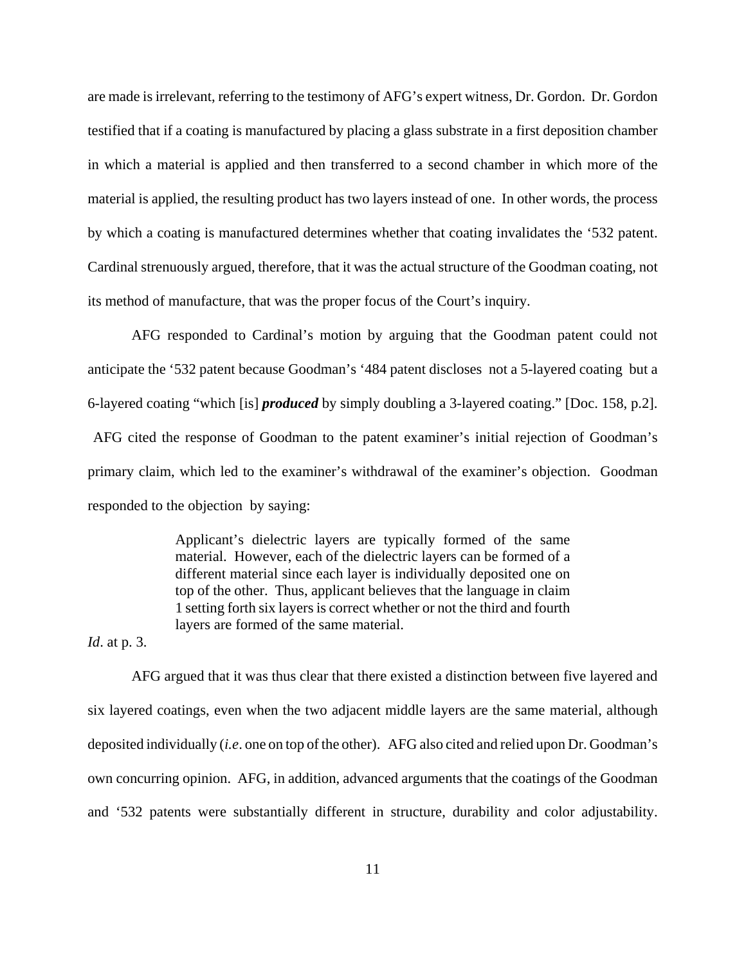are made is irrelevant, referring to the testimony of AFG's expert witness, Dr. Gordon. Dr. Gordon testified that if a coating is manufactured by placing a glass substrate in a first deposition chamber in which a material is applied and then transferred to a second chamber in which more of the material is applied, the resulting product has two layers instead of one. In other words, the process by which a coating is manufactured determines whether that coating invalidates the '532 patent. Cardinal strenuously argued, therefore, that it was the actual structure of the Goodman coating, not its method of manufacture, that was the proper focus of the Court's inquiry.

AFG responded to Cardinal's motion by arguing that the Goodman patent could not anticipate the '532 patent because Goodman's '484 patent discloses not a 5-layered coating but a 6-layered coating "which [is] *produced* by simply doubling a 3-layered coating." [Doc. 158, p.2]. AFG cited the response of Goodman to the patent examiner's initial rejection of Goodman's primary claim, which led to the examiner's withdrawal of the examiner's objection. Goodman responded to the objection by saying:

> Applicant's dielectric layers are typically formed of the same material. However, each of the dielectric layers can be formed of a different material since each layer is individually deposited one on top of the other. Thus, applicant believes that the language in claim 1 setting forth six layers is correct whether or not the third and fourth layers are formed of the same material.

*Id*. at p. 3.

AFG argued that it was thus clear that there existed a distinction between five layered and six layered coatings, even when the two adjacent middle layers are the same material, although deposited individually (*i.e*. one on top of the other). AFG also cited and relied upon Dr. Goodman's own concurring opinion. AFG, in addition, advanced arguments that the coatings of the Goodman and '532 patents were substantially different in structure, durability and color adjustability.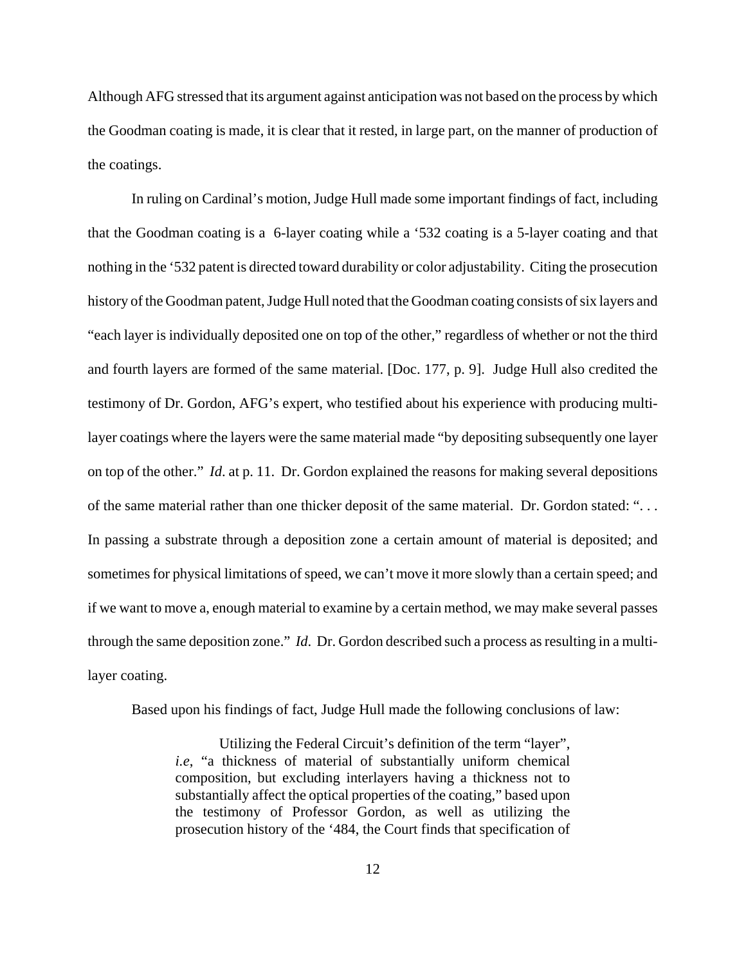Although AFG stressed that its argument against anticipation was not based on the process by which the Goodman coating is made, it is clear that it rested, in large part, on the manner of production of the coatings.

In ruling on Cardinal's motion, Judge Hull made some important findings of fact, including that the Goodman coating is a 6-layer coating while a '532 coating is a 5-layer coating and that nothing in the '532 patent is directed toward durability or color adjustability. Citing the prosecution history of the Goodman patent, Judge Hull noted that the Goodman coating consists of six layers and "each layer is individually deposited one on top of the other," regardless of whether or not the third and fourth layers are formed of the same material. [Doc. 177, p. 9]. Judge Hull also credited the testimony of Dr. Gordon, AFG's expert, who testified about his experience with producing multilayer coatings where the layers were the same material made "by depositing subsequently one layer on top of the other." *Id*. at p. 11. Dr. Gordon explained the reasons for making several depositions of the same material rather than one thicker deposit of the same material. Dr. Gordon stated: ". . . In passing a substrate through a deposition zone a certain amount of material is deposited; and sometimes for physical limitations of speed, we can't move it more slowly than a certain speed; and if we want to move a, enough material to examine by a certain method, we may make several passes through the same deposition zone." *Id*. Dr. Gordon described such a process as resulting in a multilayer coating.

Based upon his findings of fact, Judge Hull made the following conclusions of law:

Utilizing the Federal Circuit's definition of the term "layer", *i.e*, "a thickness of material of substantially uniform chemical composition, but excluding interlayers having a thickness not to substantially affect the optical properties of the coating," based upon the testimony of Professor Gordon, as well as utilizing the prosecution history of the '484, the Court finds that specification of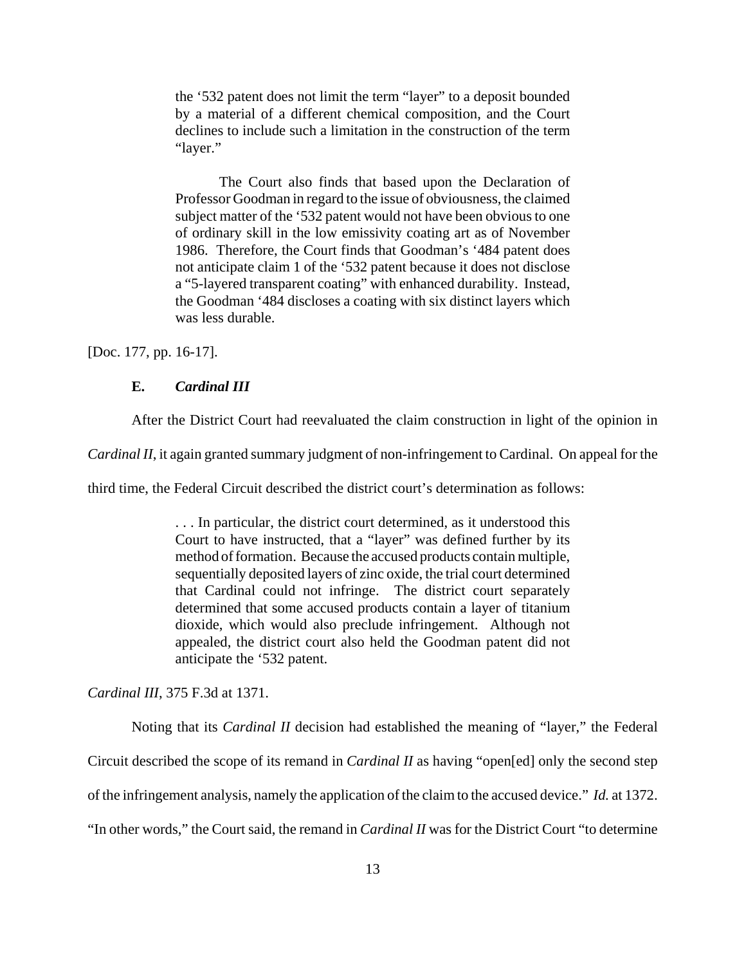the '532 patent does not limit the term "layer" to a deposit bounded by a material of a different chemical composition, and the Court declines to include such a limitation in the construction of the term "layer."

The Court also finds that based upon the Declaration of Professor Goodman in regard to the issue of obviousness, the claimed subject matter of the '532 patent would not have been obvious to one of ordinary skill in the low emissivity coating art as of November 1986. Therefore, the Court finds that Goodman's '484 patent does not anticipate claim 1 of the '532 patent because it does not disclose a "5-layered transparent coating" with enhanced durability. Instead, the Goodman '484 discloses a coating with six distinct layers which was less durable.

[Doc. 177, pp. 16-17].

## **E.** *Cardinal III*

After the District Court had reevaluated the claim construction in light of the opinion in

*Cardinal II*, it again granted summary judgment of non-infringement to Cardinal. On appeal for the

third time, the Federal Circuit described the district court's determination as follows:

. . . In particular, the district court determined, as it understood this Court to have instructed, that a "layer" was defined further by its method of formation. Because the accused products contain multiple, sequentially deposited layers of zinc oxide, the trial court determined that Cardinal could not infringe. The district court separately determined that some accused products contain a layer of titanium dioxide, which would also preclude infringement. Although not appealed, the district court also held the Goodman patent did not anticipate the '532 patent.

*Cardinal III*, 375 F.3d at 1371.

Noting that its *Cardinal II* decision had established the meaning of "layer," the Federal Circuit described the scope of its remand in *Cardinal II* as having "open[ed] only the second step of the infringement analysis, namely the application of the claim to the accused device." *Id.* at 1372. "In other words," the Court said, the remand in *Cardinal II* was for the District Court "to determine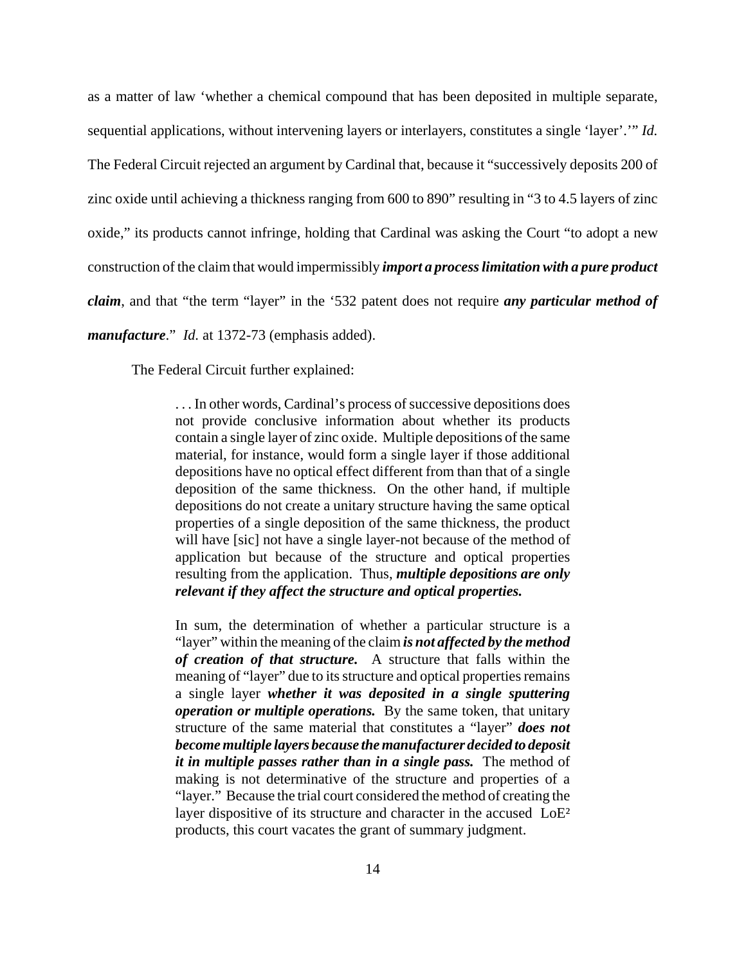as a matter of law 'whether a chemical compound that has been deposited in multiple separate, sequential applications, without intervening layers or interlayers, constitutes a single 'layer'.'" *Id.* The Federal Circuit rejected an argument by Cardinal that, because it "successively deposits 200 of zinc oxide until achieving a thickness ranging from 600 to 890" resulting in "3 to 4.5 layers of zinc oxide," its products cannot infringe, holding that Cardinal was asking the Court "to adopt a new construction of the claim that would impermissibly *import a process limitation with a pure product claim*, and that "the term "layer" in the '532 patent does not require *any particular method of manufacture*." *Id.* at 1372-73 (emphasis added).

The Federal Circuit further explained:

. . . In other words, Cardinal's process of successive depositions does not provide conclusive information about whether its products contain a single layer of zinc oxide. Multiple depositions of the same material, for instance, would form a single layer if those additional depositions have no optical effect different from than that of a single deposition of the same thickness. On the other hand, if multiple depositions do not create a unitary structure having the same optical properties of a single deposition of the same thickness, the product will have [sic] not have a single layer-not because of the method of application but because of the structure and optical properties resulting from the application. Thus, *multiple depositions are only relevant if they affect the structure and optical properties.*

In sum, the determination of whether a particular structure is a "layer" within the meaning of the claim *is not affected by the method of creation of that structure.* A structure that falls within the meaning of "layer" due to its structure and optical properties remains a single layer *whether it was deposited in a single sputtering operation or multiple operations.* By the same token, that unitary structure of the same material that constitutes a "layer" *does not become multiple layers because the manufacturer decided to deposit it in multiple passes rather than in a single pass.* The method of making is not determinative of the structure and properties of a "layer." Because the trial court considered the method of creating the layer dispositive of its structure and character in the accused LoE<sup>2</sup> products, this court vacates the grant of summary judgment.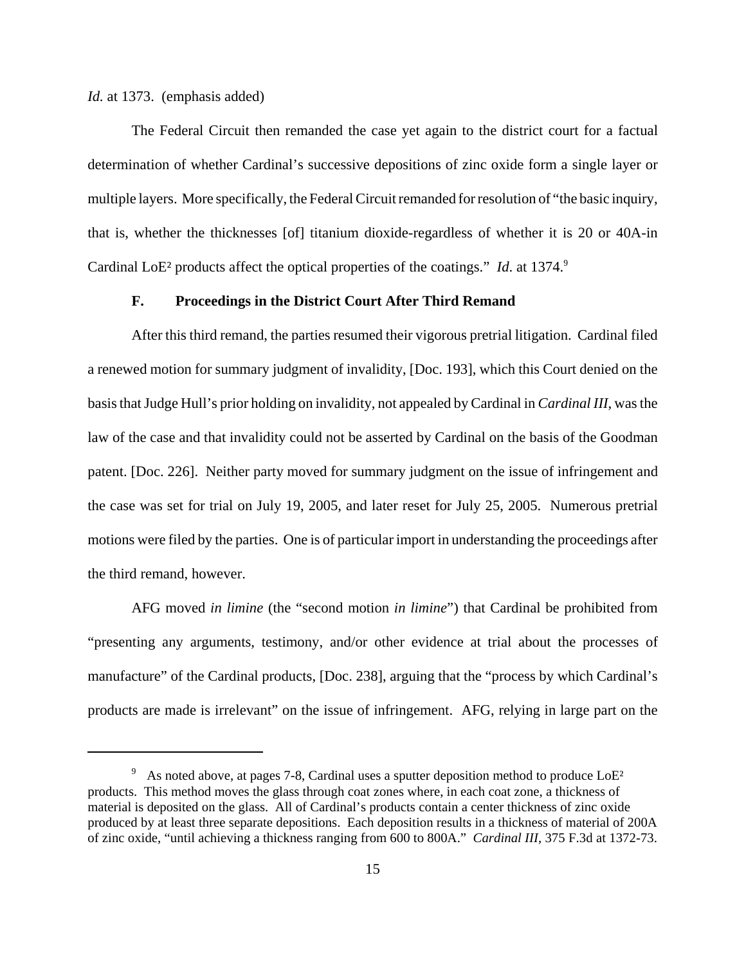*Id.* at 1373. (emphasis added)

The Federal Circuit then remanded the case yet again to the district court for a factual determination of whether Cardinal's successive depositions of zinc oxide form a single layer or multiple layers. More specifically, the Federal Circuit remanded for resolution of "the basic inquiry, that is, whether the thicknesses [of] titanium dioxide-regardless of whether it is 20 or 40A-in Cardinal LoE<sup>2</sup> products affect the optical properties of the coatings." *Id.* at 1374.<sup>9</sup>

# **F. Proceedings in the District Court After Third Remand**

After this third remand, the parties resumed their vigorous pretrial litigation. Cardinal filed a renewed motion for summary judgment of invalidity, [Doc. 193], which this Court denied on the basis that Judge Hull's prior holding on invalidity, not appealed by Cardinal in *Cardinal III*, was the law of the case and that invalidity could not be asserted by Cardinal on the basis of the Goodman patent. [Doc. 226]. Neither party moved for summary judgment on the issue of infringement and the case was set for trial on July 19, 2005, and later reset for July 25, 2005. Numerous pretrial motions were filed by the parties. One is of particular import in understanding the proceedings after the third remand, however.

AFG moved *in limine* (the "second motion *in limine*") that Cardinal be prohibited from "presenting any arguments, testimony, and/or other evidence at trial about the processes of manufacture" of the Cardinal products, [Doc. 238], arguing that the "process by which Cardinal's products are made is irrelevant" on the issue of infringement. AFG, relying in large part on the

<sup>&</sup>lt;sup>9</sup> As noted above, at pages 7-8, Cardinal uses a sputter deposition method to produce  $LoE<sup>2</sup>$ products. This method moves the glass through coat zones where, in each coat zone, a thickness of material is deposited on the glass. All of Cardinal's products contain a center thickness of zinc oxide produced by at least three separate depositions. Each deposition results in a thickness of material of 200A of zinc oxide, "until achieving a thickness ranging from 600 to 800A." *Cardinal III*, 375 F.3d at 1372-73.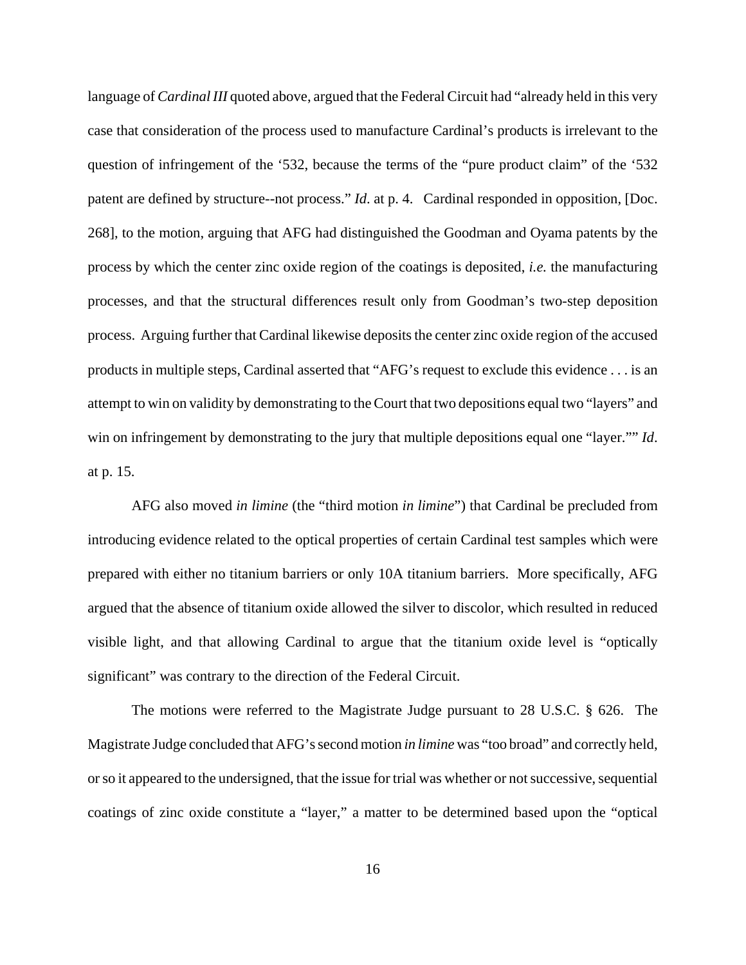language of *Cardinal III* quoted above, argued that the Federal Circuit had "already held in this very case that consideration of the process used to manufacture Cardinal's products is irrelevant to the question of infringement of the '532, because the terms of the "pure product claim" of the '532 patent are defined by structure--not process." *Id.* at p. 4. Cardinal responded in opposition, [Doc. 268], to the motion, arguing that AFG had distinguished the Goodman and Oyama patents by the process by which the center zinc oxide region of the coatings is deposited, *i.e.* the manufacturing processes, and that the structural differences result only from Goodman's two-step deposition process.Arguing further that Cardinal likewise deposits the center zinc oxide region of the accused products in multiple steps, Cardinal asserted that "AFG's request to exclude this evidence . . . is an attempt to win on validity by demonstrating to the Court that two depositions equal two "layers" and win on infringement by demonstrating to the jury that multiple depositions equal one "layer."" *Id*. at p. 15.

AFG also moved *in limine* (the "third motion *in limine*") that Cardinal be precluded from introducing evidence related to the optical properties of certain Cardinal test samples which were prepared with either no titanium barriers or only 10A titanium barriers. More specifically, AFG argued that the absence of titanium oxide allowed the silver to discolor, which resulted in reduced visible light, and that allowing Cardinal to argue that the titanium oxide level is "optically significant" was contrary to the direction of the Federal Circuit.

The motions were referred to the Magistrate Judge pursuant to 28 U.S.C. § 626. The Magistrate Judge concluded that AFG's second motion *in limine* was "too broad" and correctly held, or so it appeared to the undersigned, that the issue for trial was whether or not successive, sequential coatings of zinc oxide constitute a "layer," a matter to be determined based upon the "optical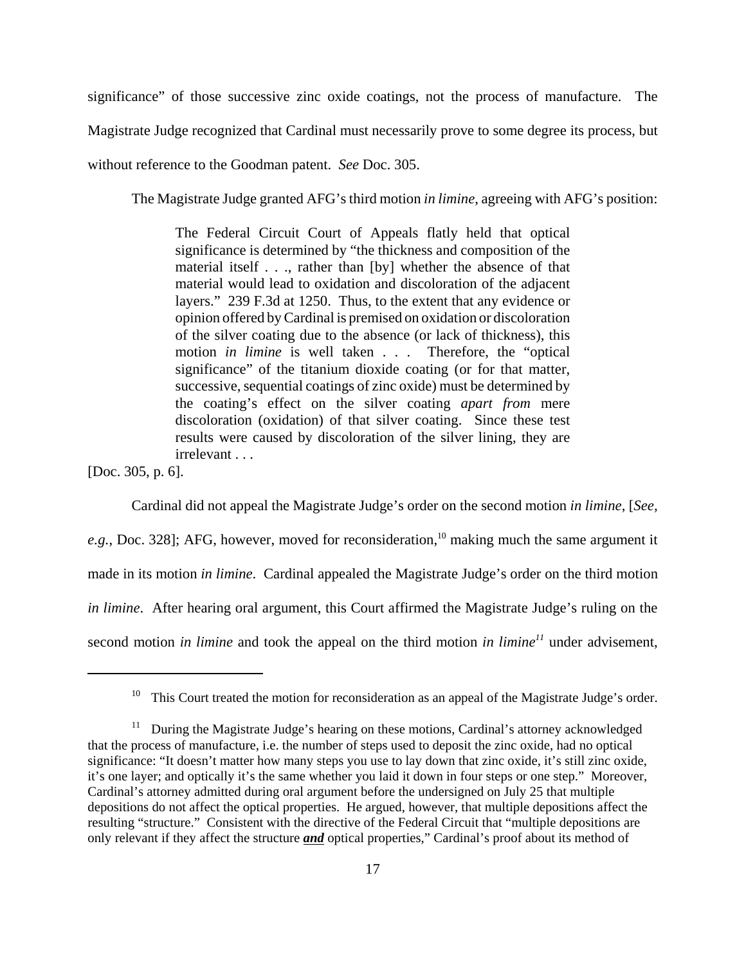significance" of those successive zinc oxide coatings, not the process of manufacture. The

Magistrate Judge recognized that Cardinal must necessarily prove to some degree its process, but

without reference to the Goodman patent. *See* Doc. 305.

The Magistrate Judge granted AFG's third motion *in limine*, agreeing with AFG's position:

The Federal Circuit Court of Appeals flatly held that optical significance is determined by "the thickness and composition of the material itself . . ., rather than [by] whether the absence of that material would lead to oxidation and discoloration of the adjacent layers." 239 F.3d at 1250. Thus, to the extent that any evidence or opinion offered by Cardinal is premised on oxidation or discoloration of the silver coating due to the absence (or lack of thickness), this motion *in limine* is well taken . . . Therefore, the "optical significance" of the titanium dioxide coating (or for that matter, successive, sequential coatings of zinc oxide) must be determined by the coating's effect on the silver coating *apart from* mere discoloration (oxidation) of that silver coating. Since these test results were caused by discoloration of the silver lining, they are irrelevant . . .

[Doc. 305, p. 6].

Cardinal did not appeal the Magistrate Judge's order on the second motion *in limine*, [*See,*

e.g., Doc. 328]; AFG, however, moved for reconsideration,<sup>10</sup> making much the same argument it made in its motion *in limine*. Cardinal appealed the Magistrate Judge's order on the third motion *in limine*. After hearing oral argument, this Court affirmed the Magistrate Judge's ruling on the second motion *in limine* and took the appeal on the third motion *in limine*<sup> $11$ </sup> under advisement,

<sup>&</sup>lt;sup>10</sup> This Court treated the motion for reconsideration as an appeal of the Magistrate Judge's order.

 $11$  During the Magistrate Judge's hearing on these motions, Cardinal's attorney acknowledged that the process of manufacture, i.e. the number of steps used to deposit the zinc oxide, had no optical significance: "It doesn't matter how many steps you use to lay down that zinc oxide, it's still zinc oxide, it's one layer; and optically it's the same whether you laid it down in four steps or one step." Moreover, Cardinal's attorney admitted during oral argument before the undersigned on July 25 that multiple depositions do not affect the optical properties. He argued, however, that multiple depositions affect the resulting "structure." Consistent with the directive of the Federal Circuit that "multiple depositions are only relevant if they affect the structure *and* optical properties," Cardinal's proof about its method of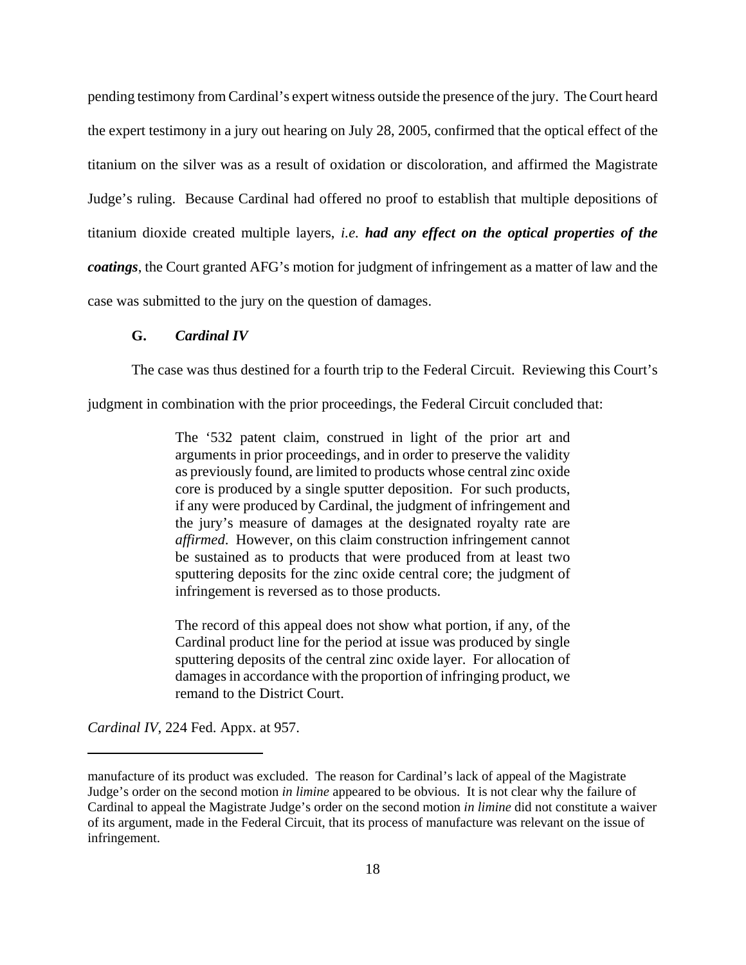pending testimony from Cardinal's expert witness outside the presence of the jury. The Court heard the expert testimony in a jury out hearing on July 28, 2005, confirmed that the optical effect of the titanium on the silver was as a result of oxidation or discoloration, and affirmed the Magistrate Judge's ruling. Because Cardinal had offered no proof to establish that multiple depositions of titanium dioxide created multiple layers, *i.e. had any effect on the optical properties of the coatings*, the Court granted AFG's motion for judgment of infringement as a matter of law and the case was submitted to the jury on the question of damages.

## **G.** *Cardinal IV*

The case was thus destined for a fourth trip to the Federal Circuit. Reviewing this Court's

judgment in combination with the prior proceedings, the Federal Circuit concluded that:

The '532 patent claim, construed in light of the prior art and arguments in prior proceedings, and in order to preserve the validity as previously found, are limited to products whose central zinc oxide core is produced by a single sputter deposition. For such products, if any were produced by Cardinal, the judgment of infringement and the jury's measure of damages at the designated royalty rate are *affirmed*. However, on this claim construction infringement cannot be sustained as to products that were produced from at least two sputtering deposits for the zinc oxide central core; the judgment of infringement is reversed as to those products.

The record of this appeal does not show what portion, if any, of the Cardinal product line for the period at issue was produced by single sputtering deposits of the central zinc oxide layer. For allocation of damages in accordance with the proportion of infringing product, we remand to the District Court.

*Cardinal IV*, 224 Fed. Appx. at 957.

manufacture of its product was excluded. The reason for Cardinal's lack of appeal of the Magistrate Judge's order on the second motion *in limine* appeared to be obvious. It is not clear why the failure of Cardinal to appeal the Magistrate Judge's order on the second motion *in limine* did not constitute a waiver of its argument, made in the Federal Circuit, that its process of manufacture was relevant on the issue of infringement.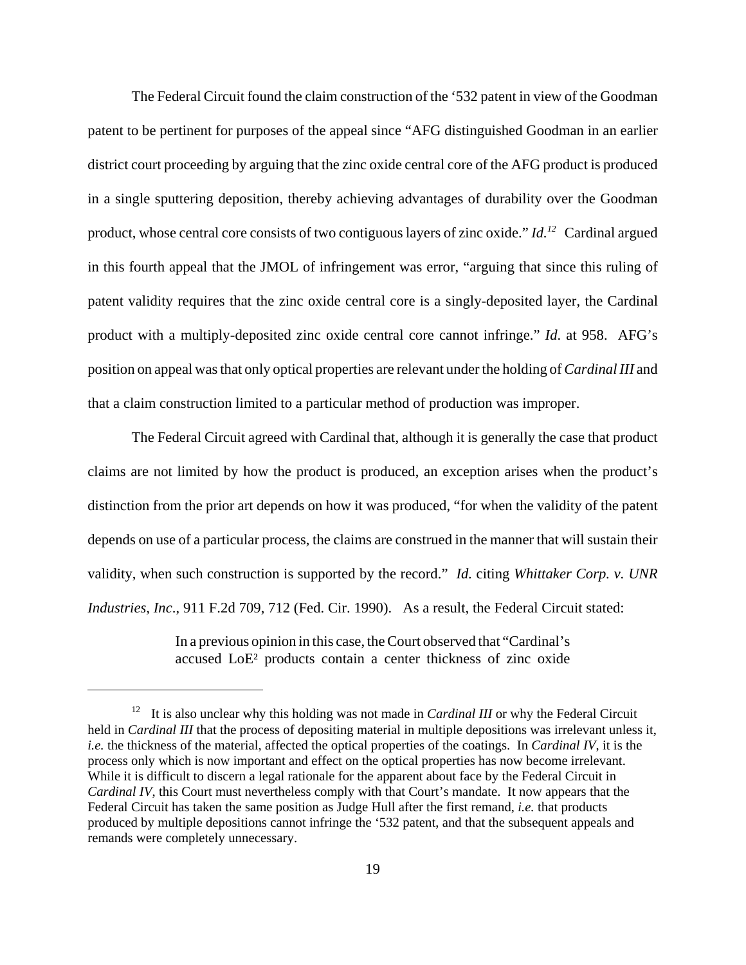The Federal Circuit found the claim construction of the '532 patent in view of the Goodman patent to be pertinent for purposes of the appeal since "AFG distinguished Goodman in an earlier district court proceeding by arguing that the zinc oxide central core of the AFG product is produced in a single sputtering deposition, thereby achieving advantages of durability over the Goodman product, whose central core consists of two contiguous layers of zinc oxide." *Id.12* Cardinal argued in this fourth appeal that the JMOL of infringement was error, "arguing that since this ruling of patent validity requires that the zinc oxide central core is a singly-deposited layer, the Cardinal product with a multiply-deposited zinc oxide central core cannot infringe." *Id*. at 958. AFG's position on appeal was that only optical properties are relevant under the holding of *Cardinal III* and that a claim construction limited to a particular method of production was improper.

The Federal Circuit agreed with Cardinal that, although it is generally the case that product claims are not limited by how the product is produced, an exception arises when the product's distinction from the prior art depends on how it was produced, "for when the validity of the patent depends on use of a particular process, the claims are construed in the manner that will sustain their validity, when such construction is supported by the record." *Id.* citing *Whittaker Corp. v. UNR Industries, Inc*., 911 F.2d 709, 712 (Fed. Cir. 1990). As a result, the Federal Circuit stated:

> In a previous opinion in this case, the Court observed that "Cardinal's accused LoE² products contain a center thickness of zinc oxide

<sup>&</sup>lt;sup>12</sup> It is also unclear why this holding was not made in *Cardinal III* or why the Federal Circuit held in *Cardinal III* that the process of depositing material in multiple depositions was irrelevant unless it, *i.e.* the thickness of the material, affected the optical properties of the coatings. In *Cardinal IV*, it is the process only which is now important and effect on the optical properties has now become irrelevant. While it is difficult to discern a legal rationale for the apparent about face by the Federal Circuit in *Cardinal IV*, this Court must nevertheless comply with that Court's mandate. It now appears that the Federal Circuit has taken the same position as Judge Hull after the first remand, *i.e.* that products produced by multiple depositions cannot infringe the '532 patent, and that the subsequent appeals and remands were completely unnecessary.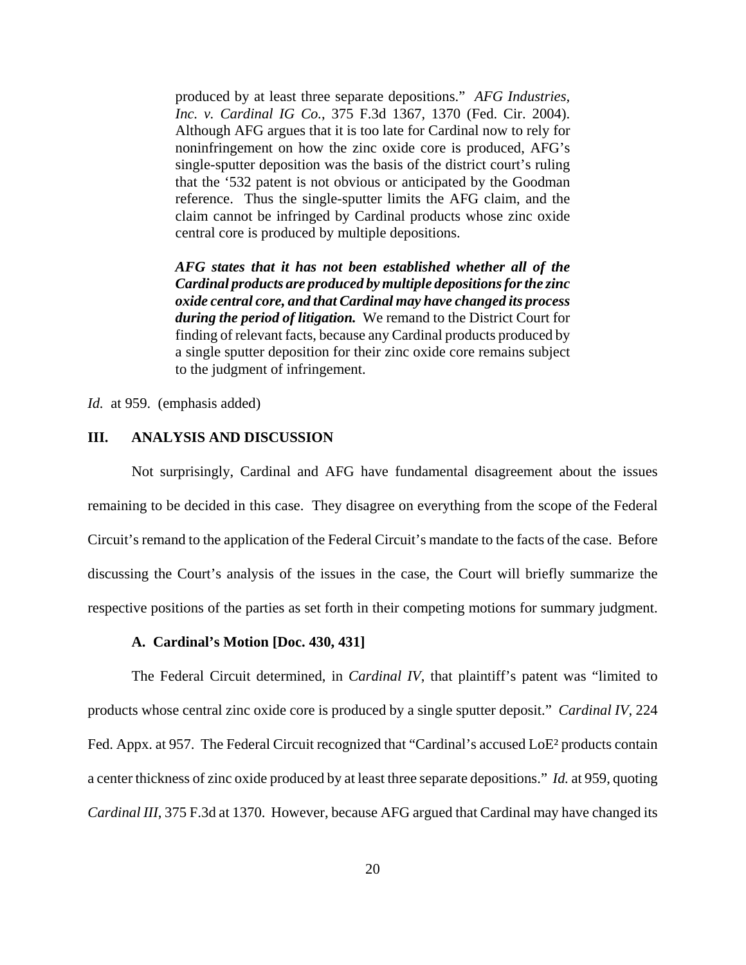produced by at least three separate depositions." *AFG Industries, Inc. v. Cardinal IG Co.*, 375 F.3d 1367, 1370 (Fed. Cir. 2004). Although AFG argues that it is too late for Cardinal now to rely for noninfringement on how the zinc oxide core is produced, AFG's single-sputter deposition was the basis of the district court's ruling that the '532 patent is not obvious or anticipated by the Goodman reference. Thus the single-sputter limits the AFG claim, and the claim cannot be infringed by Cardinal products whose zinc oxide central core is produced by multiple depositions.

*AFG states that it has not been established whether all of the Cardinal products are produced by multiple depositions for the zinc oxide central core, and that Cardinal may have changed its process during the period of litigation.* We remand to the District Court for finding of relevant facts, because any Cardinal products produced by a single sputter deposition for their zinc oxide core remains subject to the judgment of infringement.

*Id.* at 959. (emphasis added)

## **III. ANALYSIS AND DISCUSSION**

Not surprisingly, Cardinal and AFG have fundamental disagreement about the issues remaining to be decided in this case. They disagree on everything from the scope of the Federal Circuit's remand to the application of the Federal Circuit's mandate to the facts of the case. Before discussing the Court's analysis of the issues in the case, the Court will briefly summarize the respective positions of the parties as set forth in their competing motions for summary judgment.

#### **A. Cardinal's Motion [Doc. 430, 431]**

The Federal Circuit determined, in *Cardinal IV*, that plaintiff's patent was "limited to products whose central zinc oxide core is produced by a single sputter deposit." *Cardinal IV*, 224 Fed. Appx. at 957. The Federal Circuit recognized that "Cardinal's accused LoE<sup>2</sup> products contain a center thickness of zinc oxide produced by at least three separate depositions." *Id.* at 959, quoting *Cardinal III*, 375 F.3d at 1370. However, because AFG argued that Cardinal may have changed its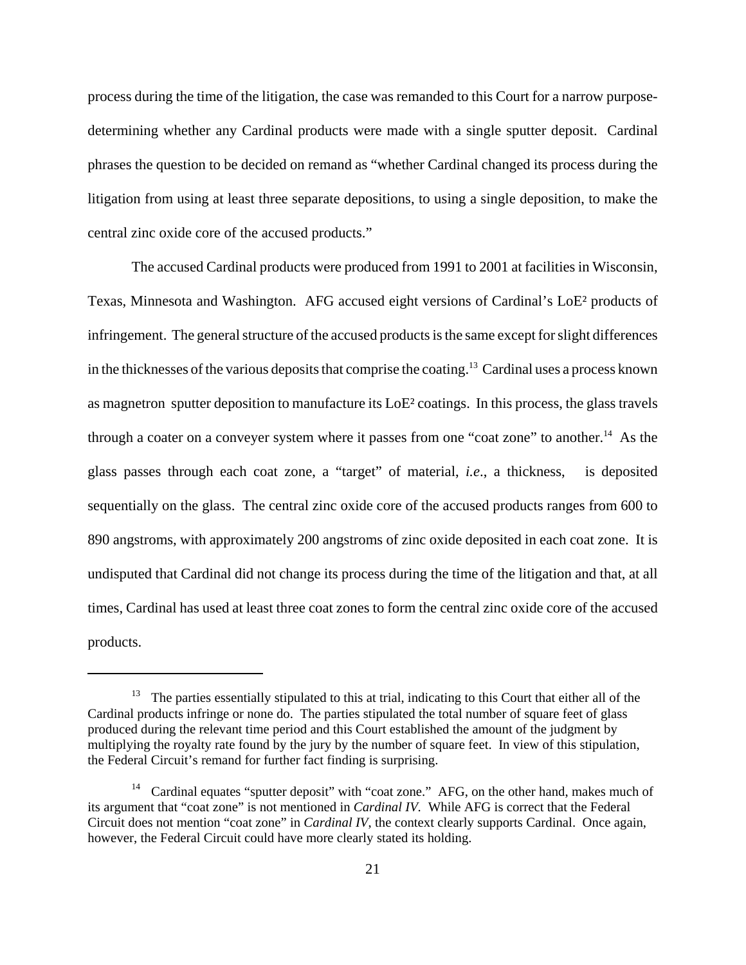process during the time of the litigation, the case was remanded to this Court for a narrow purposedetermining whether any Cardinal products were made with a single sputter deposit. Cardinal phrases the question to be decided on remand as "whether Cardinal changed its process during the litigation from using at least three separate depositions, to using a single deposition, to make the central zinc oxide core of the accused products."

The accused Cardinal products were produced from 1991 to 2001 at facilities in Wisconsin, Texas, Minnesota and Washington. AFG accused eight versions of Cardinal's LoE² products of infringement. The general structure of the accused products is the same except for slight differences in the thicknesses of the various deposits that comprise the coating.<sup>13</sup> Cardinal uses a process known as magnetron sputter deposition to manufacture its LoE² coatings. In this process, the glass travels through a coater on a conveyer system where it passes from one "coat zone" to another.<sup>14</sup> As the glass passes through each coat zone, a "target" of material, *i.e*., a thickness, is deposited sequentially on the glass. The central zinc oxide core of the accused products ranges from 600 to 890 angstroms, with approximately 200 angstroms of zinc oxide deposited in each coat zone. It is undisputed that Cardinal did not change its process during the time of the litigation and that, at all times, Cardinal has used at least three coat zones to form the central zinc oxide core of the accused products.

<sup>&</sup>lt;sup>13</sup> The parties essentially stipulated to this at trial, indicating to this Court that either all of the Cardinal products infringe or none do. The parties stipulated the total number of square feet of glass produced during the relevant time period and this Court established the amount of the judgment by multiplying the royalty rate found by the jury by the number of square feet. In view of this stipulation, the Federal Circuit's remand for further fact finding is surprising.

<sup>&</sup>lt;sup>14</sup> Cardinal equates "sputter deposit" with "coat zone." AFG, on the other hand, makes much of its argument that "coat zone" is not mentioned in *Cardinal IV.* While AFG is correct that the Federal Circuit does not mention "coat zone" in *Cardinal IV*, the context clearly supports Cardinal. Once again, however, the Federal Circuit could have more clearly stated its holding.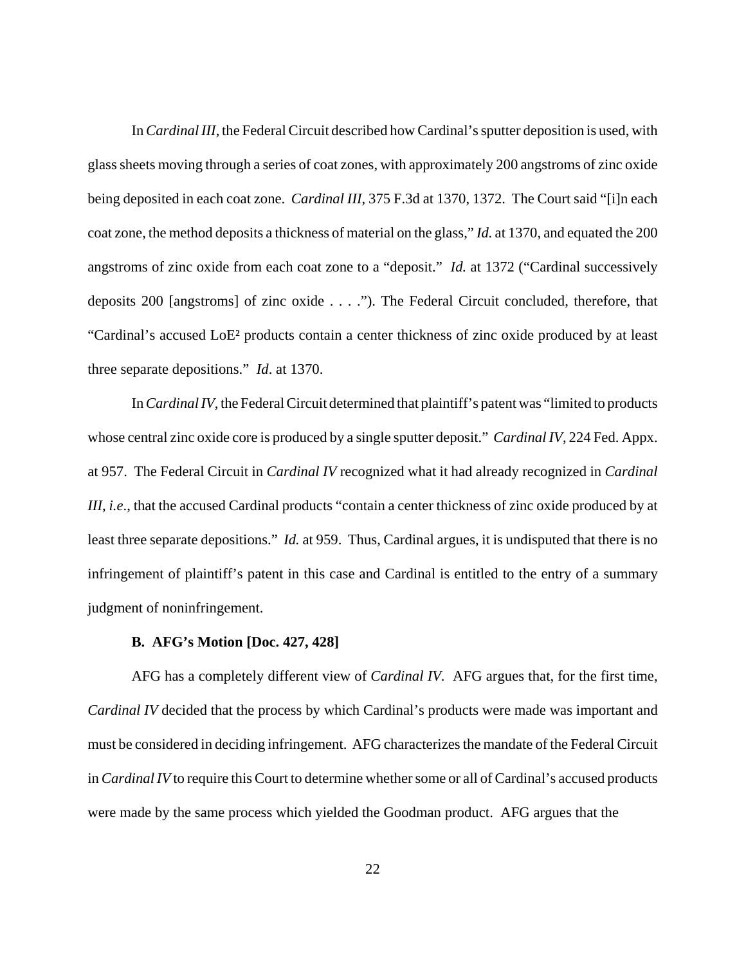In *Cardinal III*, the Federal Circuit described how Cardinal's sputter deposition is used, with glass sheets moving through a series of coat zones, with approximately 200 angstroms of zinc oxide being deposited in each coat zone. *Cardinal III*, 375 F.3d at 1370, 1372. The Court said "[i]n each coat zone, the method deposits a thickness of material on the glass," *Id.* at 1370, and equated the 200 angstroms of zinc oxide from each coat zone to a "deposit." *Id.* at 1372 ("Cardinal successively deposits 200 [angstroms] of zinc oxide . . . ."). The Federal Circuit concluded, therefore, that "Cardinal's accused LoE² products contain a center thickness of zinc oxide produced by at least three separate depositions." *Id*. at 1370.

In *Cardinal IV*, the Federal Circuit determined that plaintiff's patent was "limited to products whose central zinc oxide core is produced by a single sputter deposit." *Cardinal IV*, 224 Fed. Appx. at 957. The Federal Circuit in *Cardinal IV* recognized what it had already recognized in *Cardinal III*, *i.e*., that the accused Cardinal products "contain a center thickness of zinc oxide produced by at least three separate depositions." *Id.* at 959. Thus, Cardinal argues, it is undisputed that there is no infringement of plaintiff's patent in this case and Cardinal is entitled to the entry of a summary judgment of noninfringement.

## **B. AFG's Motion [Doc. 427, 428]**

AFG has a completely different view of *Cardinal IV.* AFG argues that, for the first time, *Cardinal IV* decided that the process by which Cardinal's products were made was important and must be considered in deciding infringement. AFG characterizes the mandate of the Federal Circuit in *Cardinal IV* to require this Court to determine whether some or all of Cardinal's accused products were made by the same process which yielded the Goodman product. AFG argues that the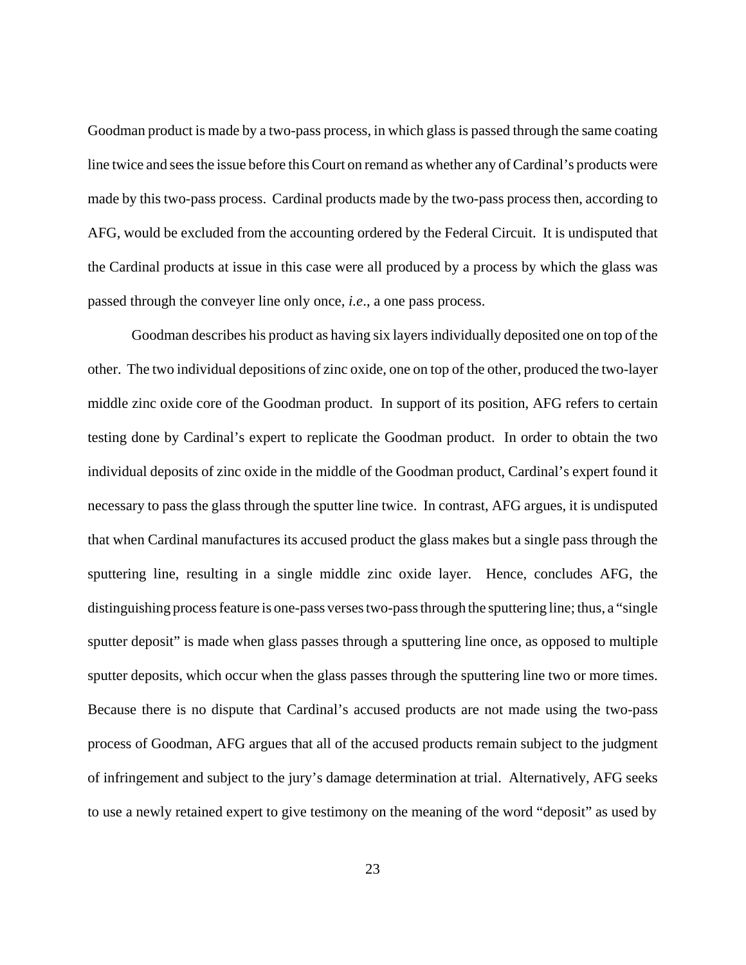Goodman product is made by a two-pass process, in which glass is passed through the same coating line twice and sees the issue before this Court on remand as whether any of Cardinal's products were made by this two-pass process. Cardinal products made by the two-pass process then, according to AFG, would be excluded from the accounting ordered by the Federal Circuit. It is undisputed that the Cardinal products at issue in this case were all produced by a process by which the glass was passed through the conveyer line only once, *i.e*., a one pass process.

Goodman describes his product as having six layers individually deposited one on top of the other. The two individual depositions of zinc oxide, one on top of the other, produced the two-layer middle zinc oxide core of the Goodman product. In support of its position, AFG refers to certain testing done by Cardinal's expert to replicate the Goodman product. In order to obtain the two individual deposits of zinc oxide in the middle of the Goodman product, Cardinal's expert found it necessary to pass the glass through the sputter line twice. In contrast, AFG argues, it is undisputed that when Cardinal manufactures its accused product the glass makes but a single pass through the sputtering line, resulting in a single middle zinc oxide layer. Hence, concludes AFG, the distinguishing process feature is one-pass verses two-pass through the sputtering line; thus, a "single sputter deposit" is made when glass passes through a sputtering line once, as opposed to multiple sputter deposits, which occur when the glass passes through the sputtering line two or more times. Because there is no dispute that Cardinal's accused products are not made using the two-pass process of Goodman, AFG argues that all of the accused products remain subject to the judgment of infringement and subject to the jury's damage determination at trial. Alternatively, AFG seeks to use a newly retained expert to give testimony on the meaning of the word "deposit" as used by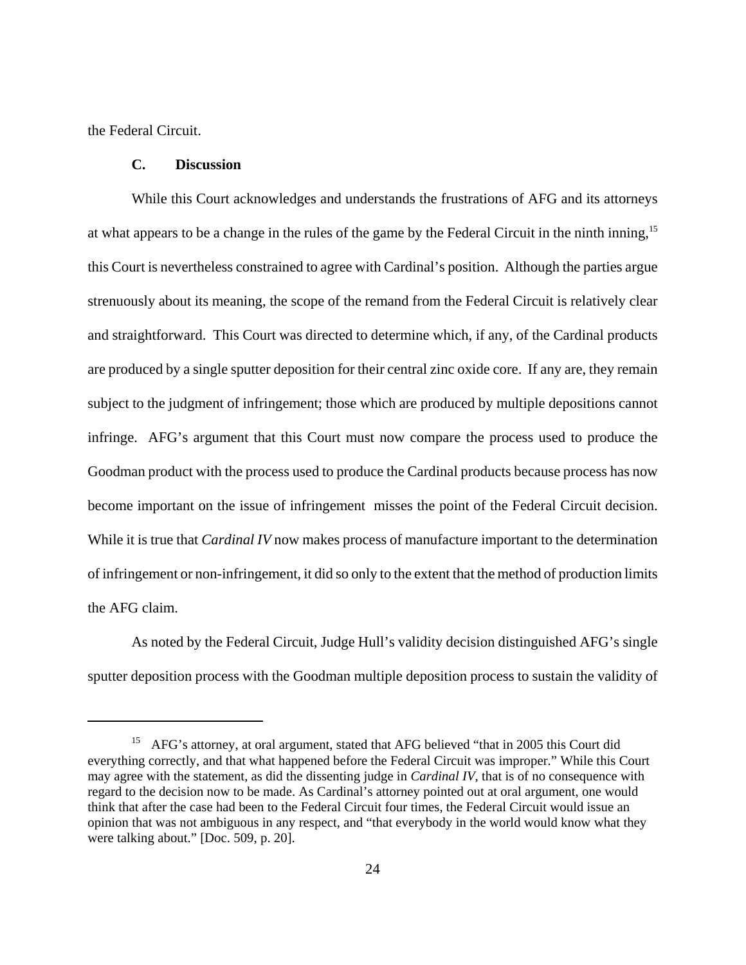the Federal Circuit.

#### **C. Discussion**

While this Court acknowledges and understands the frustrations of AFG and its attorneys at what appears to be a change in the rules of the game by the Federal Circuit in the ninth inning,15 this Court is nevertheless constrained to agree with Cardinal's position. Although the parties argue strenuously about its meaning, the scope of the remand from the Federal Circuit is relatively clear and straightforward. This Court was directed to determine which, if any, of the Cardinal products are produced by a single sputter deposition for their central zinc oxide core. If any are, they remain subject to the judgment of infringement; those which are produced by multiple depositions cannot infringe. AFG's argument that this Court must now compare the process used to produce the Goodman product with the process used to produce the Cardinal products because process has now become important on the issue of infringement misses the point of the Federal Circuit decision. While it is true that *Cardinal IV* now makes process of manufacture important to the determination of infringement or non-infringement, it did so only to the extent that the method of production limits the AFG claim.

As noted by the Federal Circuit, Judge Hull's validity decision distinguished AFG's single sputter deposition process with the Goodman multiple deposition process to sustain the validity of

<sup>&</sup>lt;sup>15</sup> AFG's attorney, at oral argument, stated that AFG believed "that in 2005 this Court did everything correctly, and that what happened before the Federal Circuit was improper." While this Court may agree with the statement, as did the dissenting judge in *Cardinal IV*, that is of no consequence with regard to the decision now to be made. As Cardinal's attorney pointed out at oral argument, one would think that after the case had been to the Federal Circuit four times, the Federal Circuit would issue an opinion that was not ambiguous in any respect, and "that everybody in the world would know what they were talking about." [Doc. 509, p. 20].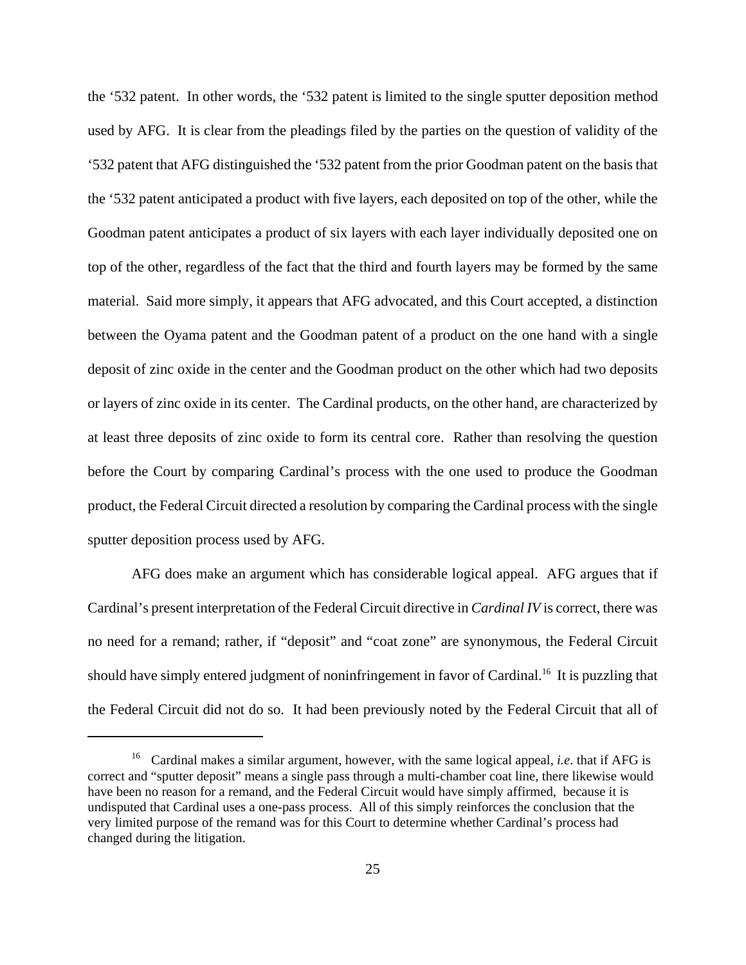the '532 patent. In other words, the '532 patent is limited to the single sputter deposition method used by AFG. It is clear from the pleadings filed by the parties on the question of validity of the '532 patent that AFG distinguished the '532 patent from the prior Goodman patent on the basis that the '532 patent anticipated a product with five layers, each deposited on top of the other, while the Goodman patent anticipates a product of six layers with each layer individually deposited one on top of the other, regardless of the fact that the third and fourth layers may be formed by the same material. Said more simply, it appears that AFG advocated, and this Court accepted, a distinction between the Oyama patent and the Goodman patent of a product on the one hand with a single deposit of zinc oxide in the center and the Goodman product on the other which had two deposits or layers of zinc oxide in its center. The Cardinal products, on the other hand, are characterized by at least three deposits of zinc oxide to form its central core. Rather than resolving the question before the Court by comparing Cardinal's process with the one used to produce the Goodman product, the Federal Circuit directed a resolution by comparing the Cardinal process with the single sputter deposition process used by AFG.

AFG does make an argument which has considerable logical appeal. AFG argues that if Cardinal's present interpretation of the Federal Circuit directive in *Cardinal IV* is correct, there was no need for a remand; rather, if "deposit" and "coat zone" are synonymous, the Federal Circuit should have simply entered judgment of noninfringement in favor of Cardinal.<sup>16</sup> It is puzzling that the Federal Circuit did not do so. It had been previously noted by the Federal Circuit that all of

<sup>16</sup> Cardinal makes a similar argument, however, with the same logical appeal, *i.e*. that if AFG is correct and "sputter deposit" means a single pass through a multi-chamber coat line, there likewise would have been no reason for a remand, and the Federal Circuit would have simply affirmed, because it is undisputed that Cardinal uses a one-pass process. All of this simply reinforces the conclusion that the very limited purpose of the remand was for this Court to determine whether Cardinal's process had changed during the litigation.